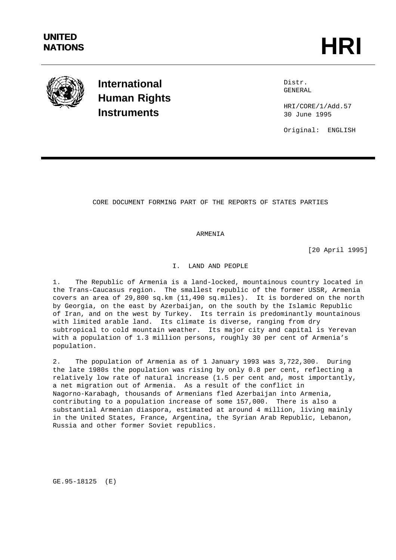

**International Human Rights Instruments**

Distr. GENERAL

HRI/CORE/1/Add.57 30 June 1995

Original: ENGLISH

CORE DOCUMENT FORMING PART OF THE REPORTS OF STATES PARTIES

ARMENIA

[20 April 1995]

I. LAND AND PEOPLE

1. The Republic of Armenia is a land-locked, mountainous country located in the Trans-Caucasus region. The smallest republic of the former USSR, Armenia covers an area of 29,800 sq.km (11,490 sq.miles). It is bordered on the north by Georgia, on the east by Azerbaijan, on the south by the Islamic Republic of Iran, and on the west by Turkey. Its terrain is predominantly mountainous with limited arable land. Its climate is diverse, ranging from dry subtropical to cold mountain weather. Its major city and capital is Yerevan with a population of 1.3 million persons, roughly 30 per cent of Armenia's population.

2. The population of Armenia as of 1 January 1993 was 3,722,300. During the late 1980s the population was rising by only 0.8 per cent, reflecting a relatively low rate of natural increase (1.5 per cent and, most importantly, a net migration out of Armenia. As a result of the conflict in Nagorno-Karabagh, thousands of Armenians fled Azerbaijan into Armenia, contributing to a population increase of some 157,000. There is also a substantial Armenian diaspora, estimated at around 4 million, living mainly in the United States, France, Argentina, the Syrian Arab Republic, Lebanon, Russia and other former Soviet republics.

GE.95-18125 (E)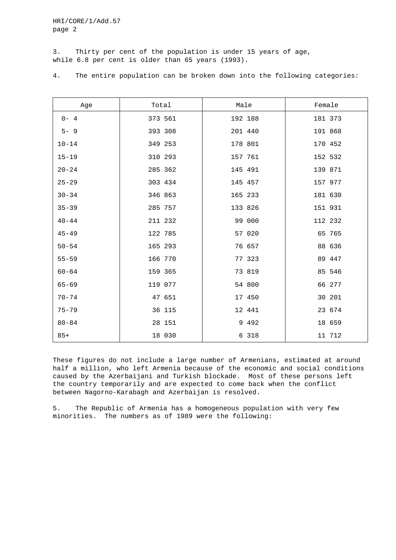3. Thirty per cent of the population is under 15 years of age, while 6.8 per cent is older than 65 years (1993).

| Age       | Total   | Male    | Female  |
|-----------|---------|---------|---------|
| $0 - 4$   | 373 561 | 192 188 | 181 373 |
| $5 - 9$   | 393 308 | 201 440 | 191 868 |
| $10 - 14$ | 349 253 | 178 801 | 170 452 |
| $15 - 19$ | 310 293 | 157 761 | 152 532 |
| $20 - 24$ | 285 362 | 145 491 | 139 871 |
| $25 - 29$ | 303 434 | 145 457 | 157 977 |
| $30 - 34$ | 346 863 | 165 233 | 181 630 |
| $35 - 39$ | 285 757 | 133 826 | 151 931 |
| $40 - 44$ | 211 232 | 99 000  | 112 232 |
| $45 - 49$ | 122 785 | 57 020  | 65 765  |
| $50 - 54$ | 165 293 | 76 657  | 88 636  |
| $55 - 59$ | 166 770 | 77 323  | 89 447  |
| $60 - 64$ | 159 365 | 73 819  | 85 546  |
| $65 - 69$ | 119 077 | 54 800  | 66 277  |
| $70 - 74$ | 47 651  | 17 450  | 30 201  |
| $75 - 79$ | 36 115  | 12 441  | 23 674  |
| $80 - 84$ | 28 151  | 9 4 9 2 | 18 659  |
| $85+$     | 18 030  | 6 318   | 11 712  |

4. The entire population can be broken down into the following categories:

These figures do not include a large number of Armenians, estimated at around half a million, who left Armenia because of the economic and social conditions caused by the Azerbaijani and Turkish blockade. Most of these persons left the country temporarily and are expected to come back when the conflict between Nagorno-Karabagh and Azerbaijan is resolved.

5. The Republic of Armenia has a homogeneous population with very few minorities. The numbers as of 1989 were the following: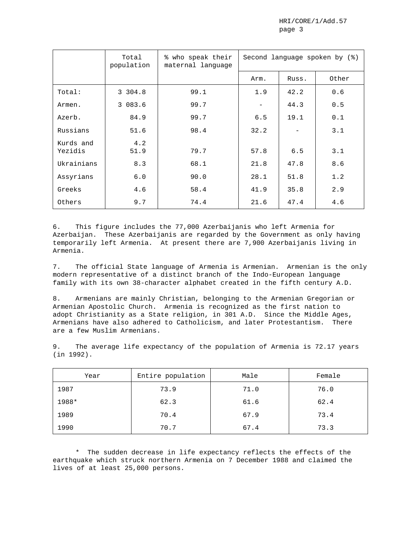|                      | Total<br>population | % who speak their<br>maternal language | Second language spoken by (%) |       |       |  |  |
|----------------------|---------------------|----------------------------------------|-------------------------------|-------|-------|--|--|
|                      |                     |                                        | Arm.                          | Russ. | Other |  |  |
| Total:               | 3 304.8             | 99.1                                   | 1.9                           | 42.2  | 0.6   |  |  |
| Armen.               | 3 083.6             | 99.7                                   |                               | 44.3  | 0.5   |  |  |
| Azerb.               | 84.9                | 99.7                                   | 6.5                           | 19.1  | 0.1   |  |  |
| Russians             | 51.6                | 98.4                                   | 32.2                          |       | 3.1   |  |  |
| Kurds and<br>Yezidis | 4.2<br>51.9         | 79.7                                   | 57.8                          | 6.5   | 3.1   |  |  |
| Ukrainians           | 8.3                 | 68.1                                   | 21.8                          | 47.8  | 8.6   |  |  |
| Assyrians            | 6.0                 | 90.0                                   | 28.1                          | 51.8  | 1.2   |  |  |
| Greeks               | 4.6                 | 58.4                                   | 41.9                          | 35.8  | 2.9   |  |  |
| Others               | 9.7                 | 74.4                                   | 21.6                          | 47.4  | 4.6   |  |  |

6. This figure includes the 77,000 Azerbaijanis who left Armenia for Azerbaijan. These Azerbaijanis are regarded by the Government as only having temporarily left Armenia. At present there are 7,900 Azerbaijanis living in Armenia.

7. The official State language of Armenia is Armenian. Armenian is the only modern representative of a distinct branch of the Indo-European language family with its own 38-character alphabet created in the fifth century A.D.

8. Armenians are mainly Christian, belonging to the Armenian Gregorian or Armenian Apostolic Church. Armenia is recognized as the first nation to adopt Christianity as a State religion, in 301 A.D. Since the Middle Ages, Armenians have also adhered to Catholicism, and later Protestantism. There are a few Muslim Armenians.

9. The average life expectancy of the population of Armenia is 72.17 years (in 1992).

| Year  | Entire population | Male | Female |
|-------|-------------------|------|--------|
| 1987  | 73.9              | 71.0 | 76.0   |
| 1988* | 62.3              | 61.6 | 62.4   |
| 1989  | 70.4              | 67.9 | 73.4   |
| 1990  | 70.7              | 67.4 | 73.3   |

\* The sudden decrease in life expectancy reflects the effects of the earthquake which struck northern Armenia on 7 December 1988 and claimed the lives of at least 25,000 persons.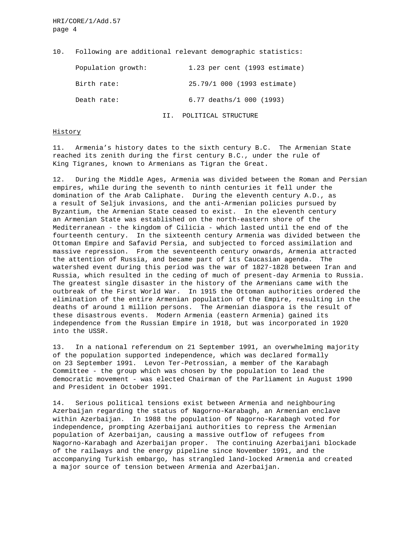10. Following are additional relevant demographic statistics:

| Population growth: | 1.23 per cent (1993 estimate) |
|--------------------|-------------------------------|
| Birth rate:        | 25.79/1 000 (1993 estimate)   |
| Death rate:        | 6.77 deaths/1 000 (1993)      |
|                    | II. POLITICAL STRUCTURE       |

## History

11. Armenia's history dates to the sixth century B.C. The Armenian State reached its zenith during the first century B.C., under the rule of King Tigranes, known to Armenians as Tigran the Great.

12. During the Middle Ages, Armenia was divided between the Roman and Persian empires, while during the seventh to ninth centuries it fell under the domination of the Arab Caliphate. During the eleventh century A.D., as a result of Seljuk invasions, and the anti-Armenian policies pursued by Byzantium, the Armenian State ceased to exist. In the eleventh century an Armenian State was established on the north-eastern shore of the Mediterranean - the kingdom of Cilicia - which lasted until the end of the fourteenth century. In the sixteenth century Armenia was divided between the Ottoman Empire and Safavid Persia, and subjected to forced assimilation and massive repression. From the seventeenth century onwards, Armenia attracted the attention of Russia, and became part of its Caucasian agenda. The watershed event during this period was the war of 1827-1828 between Iran and Russia, which resulted in the ceding of much of present-day Armenia to Russia. The greatest single disaster in the history of the Armenians came with the outbreak of the First World War. In 1915 the Ottoman authorities ordered the elimination of the entire Armenian population of the Empire, resulting in the deaths of around 1 million persons. The Armenian diaspora is the result of these disastrous events. Modern Armenia (eastern Armenia) gained its independence from the Russian Empire in 1918, but was incorporated in 1920 into the USSR.

13. In a national referendum on 21 September 1991, an overwhelming majority of the population supported independence, which was declared formally on 23 September 1991. Levon Ter-Petrossian, a member of the Karabagh Committee - the group which was chosen by the population to lead the democratic movement - was elected Chairman of the Parliament in August 1990 and President in October 1991.

14. Serious political tensions exist between Armenia and neighbouring Azerbaijan regarding the status of Nagorno-Karabagh, an Armenian enclave within Azerbaijan. In 1988 the population of Nagorno-Karabagh voted for independence, prompting Azerbaijani authorities to repress the Armenian population of Azerbaijan, causing a massive outflow of refugees from Nagorno-Karabagh and Azerbaijan proper. The continuing Azerbaijani blockade of the railways and the energy pipeline since November 1991, and the accompanying Turkish embargo, has strangled land-locked Armenia and created a major source of tension between Armenia and Azerbaijan.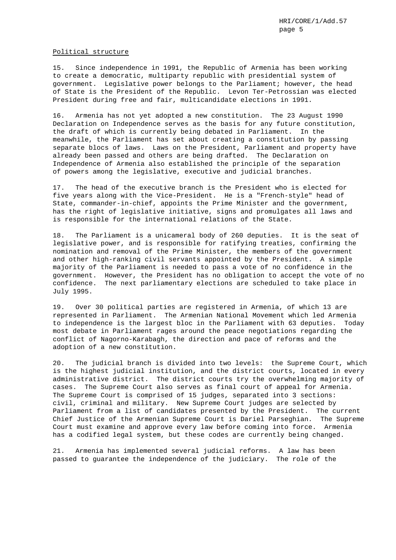## Political structure

15. Since independence in 1991, the Republic of Armenia has been working to create a democratic, multiparty republic with presidential system of government. Legislative power belongs to the Parliament; however, the head of State is the President of the Republic. Levon Ter-Petrossian was elected President during free and fair, multicandidate elections in 1991.

16. Armenia has not yet adopted a new constitution. The 23 August 1990 Declaration on Independence serves as the basis for any future constitution, the draft of which is currently being debated in Parliament. In the meanwhile, the Parliament has set about creating a constitution by passing separate blocs of laws. Laws on the President, Parliament and property have already been passed and others are being drafted. The Declaration on Independence of Armenia also established the principle of the separation of powers among the legislative, executive and judicial branches.

17. The head of the executive branch is the President who is elected for five years along with the Vice-President. He is a "French-style" head of State, commander-in-chief, appoints the Prime Minister and the government, has the right of legislative initiative, signs and promulgates all laws and is responsible for the international relations of the State.

18. The Parliament is a unicameral body of 260 deputies. It is the seat of legislative power, and is responsible for ratifying treaties, confirming the nomination and removal of the Prime Minister, the members of the government and other high-ranking civil servants appointed by the President. A simple majority of the Parliament is needed to pass a vote of no confidence in the government. However, the President has no obligation to accept the vote of no confidence. The next parliamentary elections are scheduled to take place in July 1995.

19. Over 30 political parties are registered in Armenia, of which 13 are represented in Parliament. The Armenian National Movement which led Armenia to independence is the largest bloc in the Parliament with 63 deputies. Today most debate in Parliament rages around the peace negotiations regarding the conflict of Nagorno-Karabagh, the direction and pace of reforms and the adoption of a new constitution.

20. The judicial branch is divided into two levels: the Supreme Court, which is the highest judicial institution, and the district courts, located in every administrative district. The district courts try the overwhelming majority of cases. The Supreme Court also serves as final court of appeal for Armenia. The Supreme Court is comprised of 15 judges, separated into 3 sections: civil, criminal and military. New Supreme Court judges are selected by Parliament from a list of candidates presented by the President. The current Chief Justice of the Armenian Supreme Court is Dariel Parseghian. The Supreme Court must examine and approve every law before coming into force. Armenia has a codified legal system, but these codes are currently being changed.

21. Armenia has implemented several judicial reforms. A law has been passed to guarantee the independence of the judiciary. The role of the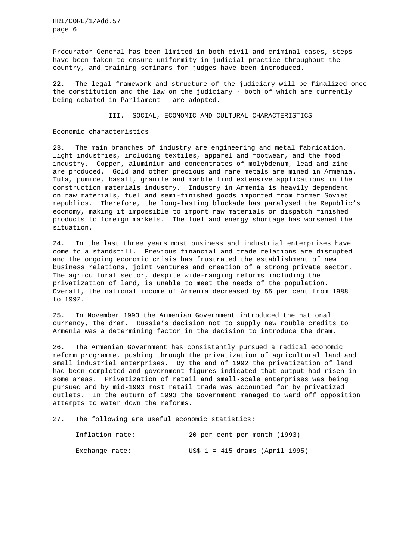Procurator-General has been limited in both civil and criminal cases, steps have been taken to ensure uniformity in judicial practice throughout the country, and training seminars for judges have been introduced.

22. The legal framework and structure of the judiciary will be finalized once the constitution and the law on the judiciary - both of which are currently being debated in Parliament - are adopted.

III. SOCIAL, ECONOMIC AND CULTURAL CHARACTERISTICS

## Economic characteristics

23. The main branches of industry are engineering and metal fabrication, light industries, including textiles, apparel and footwear, and the food industry. Copper, aluminium and concentrates of molybdenum, lead and zinc are produced. Gold and other precious and rare metals are mined in Armenia. Tufa, pumice, basalt, granite and marble find extensive applications in the construction materials industry. Industry in Armenia is heavily dependent on raw materials, fuel and semi-finished goods imported from former Soviet republics. Therefore, the long-lasting blockade has paralysed the Republic's economy, making it impossible to import raw materials or dispatch finished products to foreign markets. The fuel and energy shortage has worsened the situation.

24. In the last three years most business and industrial enterprises have come to a standstill. Previous financial and trade relations are disrupted and the ongoing economic crisis has frustrated the establishment of new business relations, joint ventures and creation of a strong private sector. The agricultural sector, despite wide-ranging reforms including the privatization of land, is unable to meet the needs of the population. Overall, the national income of Armenia decreased by 55 per cent from 1988 to 1992.

25. In November 1993 the Armenian Government introduced the national currency, the dram. Russia's decision not to supply new rouble credits to Armenia was a determining factor in the decision to introduce the dram.

26. The Armenian Government has consistently pursued a radical economic reform programme, pushing through the privatization of agricultural land and small industrial enterprises. By the end of 1992 the privatization of land had been completed and government figures indicated that output had risen in some areas. Privatization of retail and small-scale enterprises was being pursued and by mid-1993 most retail trade was accounted for by privatized outlets. In the autumn of 1993 the Government managed to ward off opposition attempts to water down the reforms.

27. The following are useful economic statistics:

| Inflation rate: | 20 per cent per month (1993)             |  |
|-----------------|------------------------------------------|--|
| Exchange rate:  | $US$ 1 = 415 \text{ draws} (April 1995)$ |  |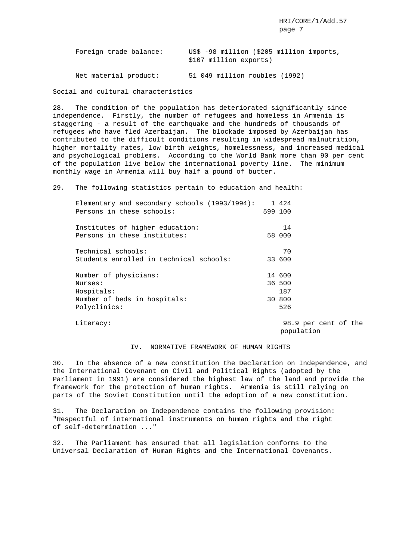|  | Foreign trade balance: |                        |  |  | US\$ -98 million (\$205 million imports, |
|--|------------------------|------------------------|--|--|------------------------------------------|
|  |                        | \$107 million exports) |  |  |                                          |
|  |                        |                        |  |  |                                          |

Net material product: 51 049 million roubles (1992)

Social and cultural characteristics

28. The condition of the population has deteriorated significantly since independence. Firstly, the number of refugees and homeless in Armenia is staggering - a result of the earthquake and the hundreds of thousands of refugees who have fled Azerbaijan. The blockade imposed by Azerbaijan has contributed to the difficult conditions resulting in widespread malnutrition, higher mortality rates, low birth weights, homelessness, and increased medical and psychological problems. According to the World Bank more than 90 per cent of the population live below the international poverty line. The minimum monthly wage in Armenia will buy half a pound of butter.

29. The following statistics pertain to education and health:

| Elementary and secondary schools (1993/1994):<br>Persons in these schools: | 1 424<br>599 100        |
|----------------------------------------------------------------------------|-------------------------|
| Institutes of higher education:<br>Persons in these institutes:            | 14<br>58 000            |
| Technical schools:<br>Students enrolled in technical schools:              | 70<br>33 600            |
| Number of physicians:<br>Nurses:<br>Hospitals:                             | 14 600<br>36 500<br>187 |
| Number of beds in hospitals:<br>Polyclinics:                               | 30 800<br>526           |

Literacy: 98.9 per cent of the population

## IV. NORMATIVE FRAMEWORK OF HUMAN RIGHTS

30. In the absence of a new constitution the Declaration on Independence, and the International Covenant on Civil and Political Rights (adopted by the Parliament in 1991) are considered the highest law of the land and provide the framework for the protection of human rights. Armenia is still relying on parts of the Soviet Constitution until the adoption of a new constitution.

31. The Declaration on Independence contains the following provision: "Respectful of international instruments on human rights and the right of self-determination ..."

32. The Parliament has ensured that all legislation conforms to the Universal Declaration of Human Rights and the International Covenants.